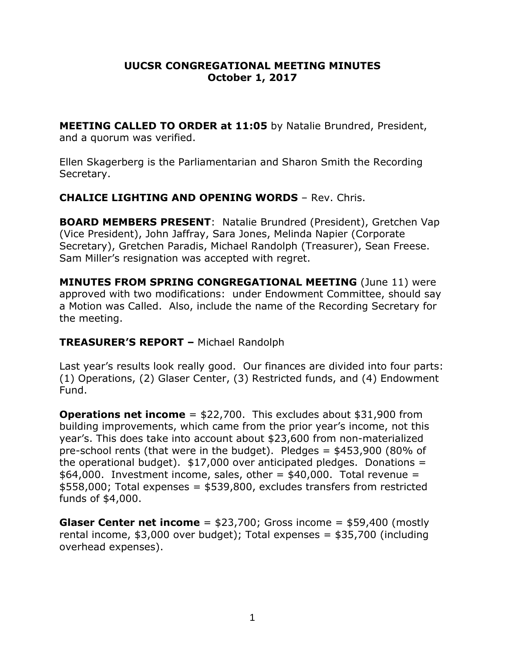### **UUCSR CONGREGATIONAL MEETING MINUTES October 1, 2017**

**MEETING CALLED TO ORDER at 11:05** by Natalie Brundred, President, and a quorum was verified.

Ellen Skagerberg is the Parliamentarian and Sharon Smith the Recording Secretary.

## **CHALICE LIGHTING AND OPENING WORDS** – Rev. Chris.

**BOARD MEMBERS PRESENT**: Natalie Brundred (President), Gretchen Vap (Vice President), John Jaffray, Sara Jones, Melinda Napier (Corporate Secretary), Gretchen Paradis, Michael Randolph (Treasurer), Sean Freese. Sam Miller's resignation was accepted with regret.

**MINUTES FROM SPRING CONGREGATIONAL MEETING** (June 11) were approved with two modifications: under Endowment Committee, should say a Motion was Called. Also, include the name of the Recording Secretary for the meeting.

# **TREASURER'S REPORT –** Michael Randolph

Last year's results look really good. Our finances are divided into four parts: (1) Operations, (2) Glaser Center, (3) Restricted funds, and (4) Endowment Fund.

**Operations net income** = \$22,700. This excludes about \$31,900 from building improvements, which came from the prior year's income, not this year's. This does take into account about \$23,600 from non-materialized pre-school rents (that were in the budget). Pledges = \$453,900 (80% of the operational budget).  $$17,000$  over anticipated pledges. Donations =  $$64,000$ . Investment income, sales, other =  $$40,000$ . Total revenue = \$558,000; Total expenses = \$539,800, excludes transfers from restricted funds of \$4,000.

**Glaser Center net income** = \$23,700; Gross income = \$59,400 (mostly rental income, \$3,000 over budget); Total expenses = \$35,700 (including overhead expenses).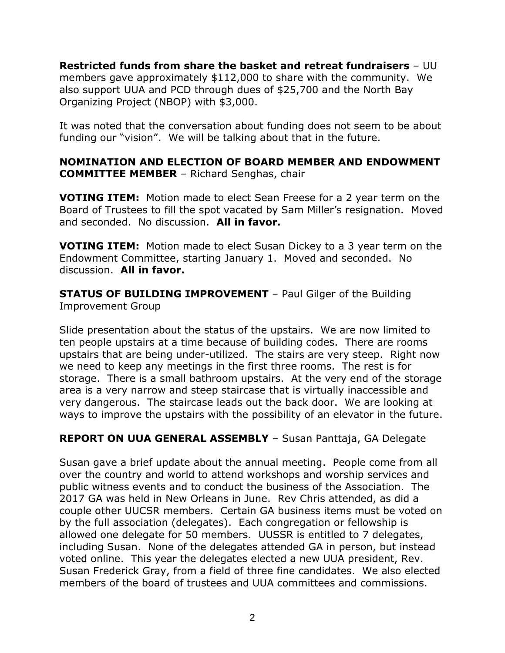**Restricted funds from share the basket and retreat fundraisers** – UU members gave approximately \$112,000 to share with the community. We also support UUA and PCD through dues of \$25,700 and the North Bay Organizing Project (NBOP) with \$3,000.

It was noted that the conversation about funding does not seem to be about funding our "vision". We will be talking about that in the future.

## **NOMINATION AND ELECTION OF BOARD MEMBER AND ENDOWMENT COMMITTEE MEMBER** – Richard Senghas, chair

**VOTING ITEM:** Motion made to elect Sean Freese for a 2 year term on the Board of Trustees to fill the spot vacated by Sam Miller's resignation. Moved and seconded. No discussion. **All in favor.**

**VOTING ITEM:** Motion made to elect Susan Dickey to a 3 year term on the Endowment Committee, starting January 1. Moved and seconded. No discussion. **All in favor.**

**STATUS OF BUILDING IMPROVEMENT** – Paul Gilger of the Building Improvement Group

Slide presentation about the status of the upstairs. We are now limited to ten people upstairs at a time because of building codes. There are rooms upstairs that are being under-utilized. The stairs are very steep. Right now we need to keep any meetings in the first three rooms. The rest is for storage. There is a small bathroom upstairs. At the very end of the storage area is a very narrow and steep staircase that is virtually inaccessible and very dangerous. The staircase leads out the back door. We are looking at ways to improve the upstairs with the possibility of an elevator in the future.

# **REPORT ON UUA GENERAL ASSEMBLY** – Susan Panttaja, GA Delegate

Susan gave a brief update about the annual meeting. People come from all over the country and world to attend workshops and worship services and public witness events and to conduct the business of the Association. The 2017 GA was held in New Orleans in June. Rev Chris attended, as did a couple other UUCSR members. Certain GA business items must be voted on by the full association (delegates). Each congregation or fellowship is allowed one delegate for 50 members. UUSSR is entitled to 7 delegates, including Susan. None of the delegates attended GA in person, but instead voted online. This year the delegates elected a new UUA president, Rev. Susan Frederick Gray, from a field of three fine candidates. We also elected members of the board of trustees and UUA committees and commissions.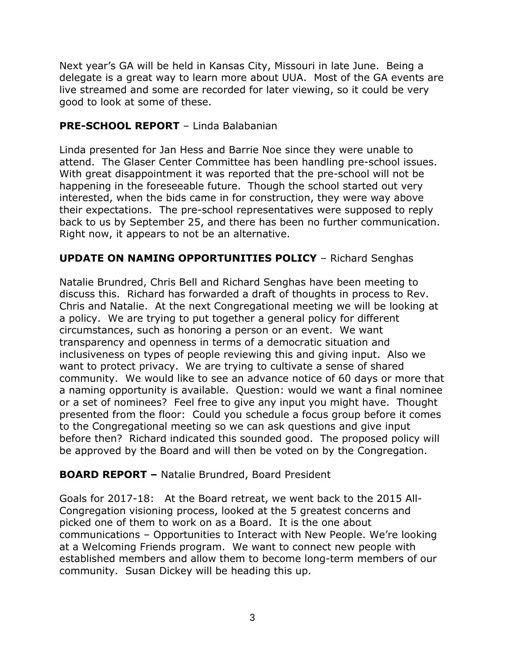Next year's GA will be held in Kansas City, Missouri in late June. Being a delegate is a great way to learn more about UUA. Most of the GA events are live streamed and some are recorded for later viewing, so it could be very good to look at some of these.

# **PRE-SCHOOL REPORT** – Linda Balabanian

Linda presented for Jan Hess and Barrie Noe since they were unable to attend. The Glaser Center Committee has been handling pre-school issues. With great disappointment it was reported that the pre-school will not be happening in the foreseeable future. Though the school started out very interested, when the bids came in for construction, they were way above their expectations. The pre-school representatives were supposed to reply back to us by September 25, and there has been no further communication. Right now, it appears to not be an alternative.

# **UPDATE ON NAMING OPPORTUNITIES POLICY** – Richard Senghas

Natalie Brundred, Chris Bell and Richard Senghas have been meeting to discuss this. Richard has forwarded a draft of thoughts in process to Rev. Chris and Natalie. At the next Congregational meeting we will be looking at a policy. We are trying to put together a general policy for different circumstances, such as honoring a person or an event. We want transparency and openness in terms of a democratic situation and inclusiveness on types of people reviewing this and giving input. Also we want to protect privacy. We are trying to cultivate a sense of shared community. We would like to see an advance notice of 60 days or more that a naming opportunity is available. Question: would we want a final nominee or a set of nominees? Feel free to give any input you might have. Thought presented from the floor: Could you schedule a focus group before it comes to the Congregational meeting so we can ask questions and give input before then? Richard indicated this sounded good. The proposed policy will be approved by the Board and will then be voted on by the Congregation.

# **BOARD REPORT –** Natalie Brundred, Board President

Goals for 2017-18: At the Board retreat, we went back to the 2015 All-Congregation visioning process, looked at the 5 greatest concerns and picked one of them to work on as a Board. It is the one about communications – Opportunities to Interact with New People. We're looking at a Welcoming Friends program. We want to connect new people with established members and allow them to become long-term members of our community. Susan Dickey will be heading this up.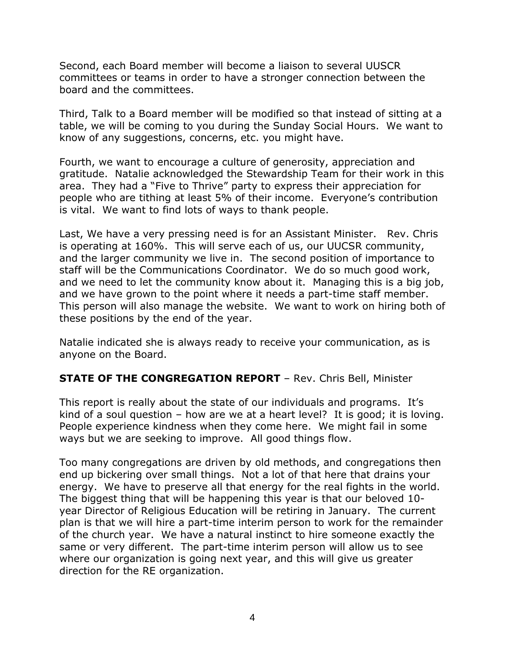Second, each Board member will become a liaison to several UUSCR committees or teams in order to have a stronger connection between the board and the committees.

Third, Talk to a Board member will be modified so that instead of sitting at a table, we will be coming to you during the Sunday Social Hours. We want to know of any suggestions, concerns, etc. you might have.

Fourth, we want to encourage a culture of generosity, appreciation and gratitude. Natalie acknowledged the Stewardship Team for their work in this area. They had a "Five to Thrive" party to express their appreciation for people who are tithing at least 5% of their income. Everyone's contribution is vital. We want to find lots of ways to thank people.

Last, We have a very pressing need is for an Assistant Minister. Rev. Chris is operating at 160%. This will serve each of us, our UUCSR community, and the larger community we live in. The second position of importance to staff will be the Communications Coordinator. We do so much good work, and we need to let the community know about it. Managing this is a big job, and we have grown to the point where it needs a part-time staff member. This person will also manage the website. We want to work on hiring both of these positions by the end of the year.

Natalie indicated she is always ready to receive your communication, as is anyone on the Board.

# **STATE OF THE CONGREGATION REPORT** – Rev. Chris Bell, Minister

This report is really about the state of our individuals and programs. It's kind of a soul question – how are we at a heart level? It is good; it is loving. People experience kindness when they come here. We might fail in some ways but we are seeking to improve. All good things flow.

Too many congregations are driven by old methods, and congregations then end up bickering over small things. Not a lot of that here that drains your energy. We have to preserve all that energy for the real fights in the world. The biggest thing that will be happening this year is that our beloved 10 year Director of Religious Education will be retiring in January. The current plan is that we will hire a part-time interim person to work for the remainder of the church year. We have a natural instinct to hire someone exactly the same or very different. The part-time interim person will allow us to see where our organization is going next year, and this will give us greater direction for the RE organization.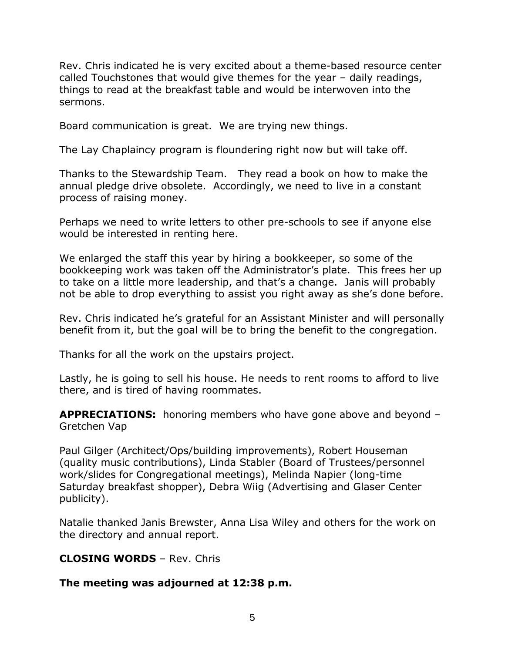Rev. Chris indicated he is very excited about a theme-based resource center called Touchstones that would give themes for the year – daily readings, things to read at the breakfast table and would be interwoven into the sermons.

Board communication is great. We are trying new things.

The Lay Chaplaincy program is floundering right now but will take off.

Thanks to the Stewardship Team. They read a book on how to make the annual pledge drive obsolete. Accordingly, we need to live in a constant process of raising money.

Perhaps we need to write letters to other pre-schools to see if anyone else would be interested in renting here.

We enlarged the staff this year by hiring a bookkeeper, so some of the bookkeeping work was taken off the Administrator's plate. This frees her up to take on a little more leadership, and that's a change. Janis will probably not be able to drop everything to assist you right away as she's done before.

Rev. Chris indicated he's grateful for an Assistant Minister and will personally benefit from it, but the goal will be to bring the benefit to the congregation.

Thanks for all the work on the upstairs project.

Lastly, he is going to sell his house. He needs to rent rooms to afford to live there, and is tired of having roommates.

**APPRECIATIONS:** honoring members who have gone above and beyond – Gretchen Vap

Paul Gilger (Architect/Ops/building improvements), Robert Houseman (quality music contributions), Linda Stabler (Board of Trustees/personnel work/slides for Congregational meetings), Melinda Napier (long-time Saturday breakfast shopper), Debra Wiig (Advertising and Glaser Center publicity).

Natalie thanked Janis Brewster, Anna Lisa Wiley and others for the work on the directory and annual report.

### **CLOSING WORDS** – Rev. Chris

### **The meeting was adjourned at 12:38 p.m.**